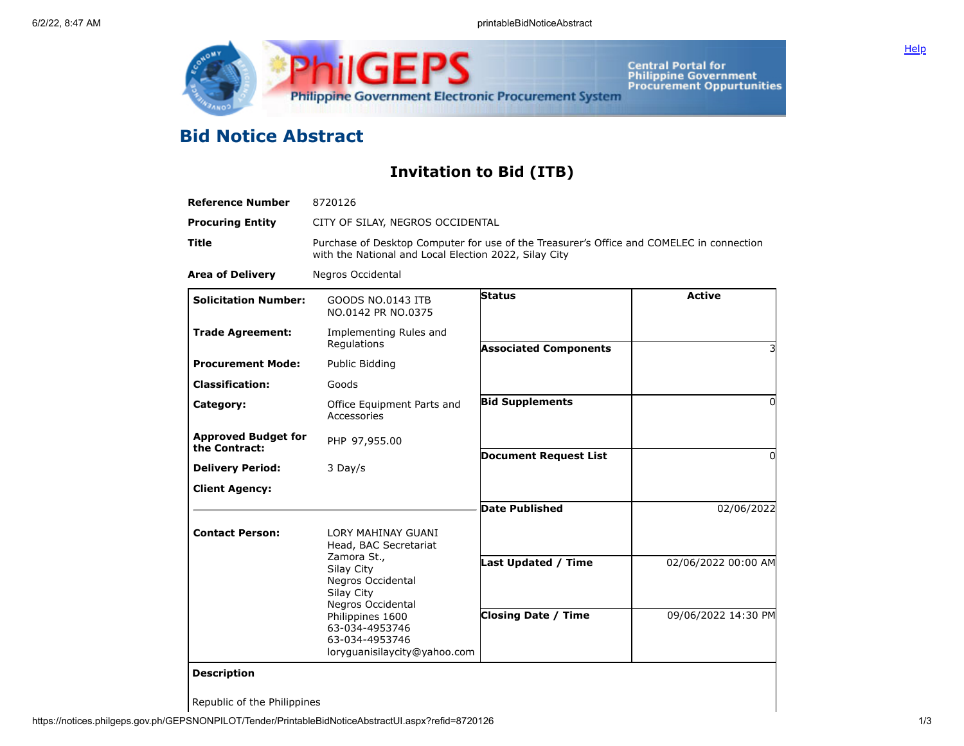



Central Portal for<br>Philippine Government<br>Procurement Oppurtunities

## **Bid Notice Abstract**

## **Invitation to Bid (ITB)**

| <b>Reference Number</b>                     | 8720126                                                                                                                                           |                              |                     |  |  |  |
|---------------------------------------------|---------------------------------------------------------------------------------------------------------------------------------------------------|------------------------------|---------------------|--|--|--|
| <b>Procuring Entity</b>                     | CITY OF SILAY, NEGROS OCCIDENTAL                                                                                                                  |                              |                     |  |  |  |
| <b>Title</b>                                | Purchase of Desktop Computer for use of the Treasurer's Office and COMELEC in connection<br>with the National and Local Election 2022, Silay City |                              |                     |  |  |  |
| <b>Area of Delivery</b>                     | Negros Occidental                                                                                                                                 |                              |                     |  |  |  |
| <b>Solicitation Number:</b>                 | GOODS NO.0143 ITB<br>NO.0142 PR NO.0375                                                                                                           | <b>Status</b>                | <b>Active</b>       |  |  |  |
| <b>Trade Agreement:</b>                     | Implementing Rules and<br>Regulations                                                                                                             | <b>Associated Components</b> |                     |  |  |  |
| <b>Procurement Mode:</b>                    | Public Bidding                                                                                                                                    |                              |                     |  |  |  |
| <b>Classification:</b>                      | Goods                                                                                                                                             |                              |                     |  |  |  |
| Category:                                   | Office Equipment Parts and<br>Accessories                                                                                                         | <b>Bid Supplements</b>       | $\Omega$            |  |  |  |
| <b>Approved Budget for</b><br>the Contract: | PHP 97,955.00                                                                                                                                     | <b>Document Request List</b> | $\Omega$            |  |  |  |
| <b>Delivery Period:</b>                     | 3 Day/s                                                                                                                                           |                              |                     |  |  |  |
| <b>Client Agency:</b>                       |                                                                                                                                                   |                              |                     |  |  |  |
|                                             |                                                                                                                                                   | <b>Date Published</b>        | 02/06/2022          |  |  |  |
| <b>Contact Person:</b>                      | LORY MAHINAY GUANI<br>Head, BAC Secretariat                                                                                                       |                              |                     |  |  |  |
|                                             | Zamora St.,<br>Silay City<br>Negros Occidental<br>Silay City<br>Negros Occidental                                                                 | Last Updated / Time          | 02/06/2022 00:00 AM |  |  |  |
|                                             | Philippines 1600<br>63-034-4953746<br>63-034-4953746<br>loryquanisilaycity@yahoo.com                                                              | <b>Closing Date / Time</b>   | 09/06/2022 14:30 PM |  |  |  |
| <b>Description</b>                          |                                                                                                                                                   |                              |                     |  |  |  |
| Republic of the Philippines                 |                                                                                                                                                   |                              |                     |  |  |  |

https://notices.philgeps.gov.ph/GEPSNONPILOT/Tender/PrintableBidNoticeAbstractUI.aspx?refid=8720126 1/3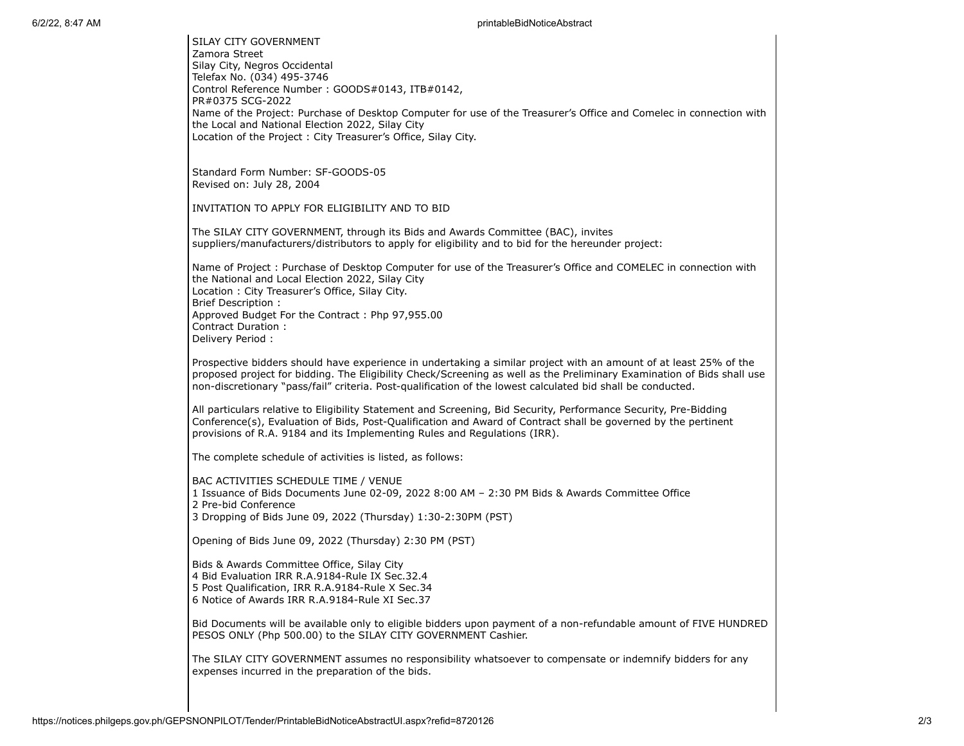## 6/2/22, 8:47 AM printableBidNoticeAbstract